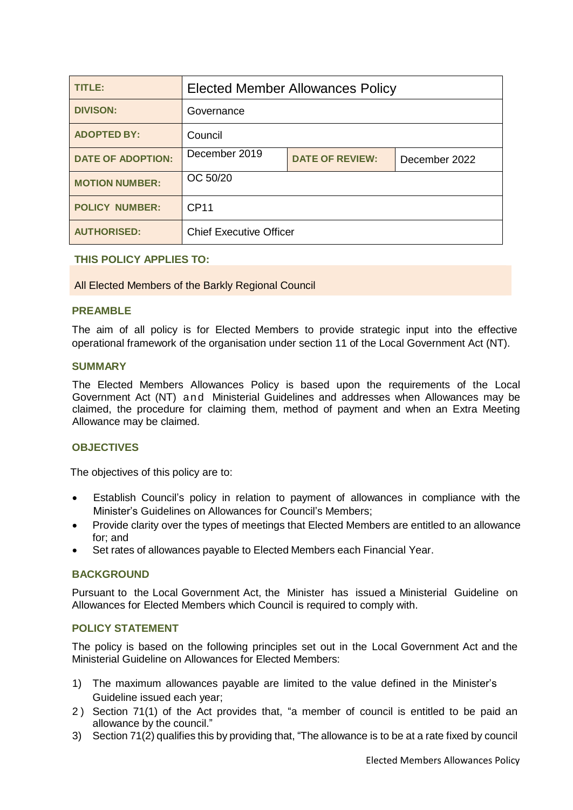| <b>TITLE:</b>            | <b>Elected Member Allowances Policy</b> |                        |               |  |
|--------------------------|-----------------------------------------|------------------------|---------------|--|
| <b>DIVISON:</b>          | Governance                              |                        |               |  |
| <b>ADOPTED BY:</b>       | Council                                 |                        |               |  |
| <b>DATE OF ADOPTION:</b> | December 2019                           | <b>DATE OF REVIEW:</b> | December 2022 |  |
| <b>MOTION NUMBER:</b>    | OC 50/20                                |                        |               |  |
| <b>POLICY NUMBER:</b>    | <b>CP11</b>                             |                        |               |  |
| <b>AUTHORISED:</b>       | <b>Chief Executive Officer</b>          |                        |               |  |

**THIS POLICY APPLIES TO:**

All Elected Members of the Barkly Regional Council

#### **PREAMBLE**

The aim of all policy is for Elected Members to provide strategic input into the effective operational framework of the organisation under section 11 of the Local Government Act (NT).

#### **SUMMARY**

The Elected Members Allowances Policy is based upon the requirements of the Local Government Act (NT) and Ministerial Guidelines and addresses when Allowances may be claimed, the procedure for claiming them, method of payment and when an Extra Meeting Allowance may be claimed.

### **OBJECTIVES**

The objectives of this policy are to:

- Establish Council's policy in relation to payment of allowances in compliance with the Minister's Guidelines on Allowances for Council's Members;
- Provide clarity over the types of meetings that Elected Members are entitled to an allowance for; and
- Set rates of allowances payable to Elected Members each Financial Year.

### **BACKGROUND**

Pursuant to the Local Government Act, the Minister has issued a Ministerial Guideline on Allowances for Elected Members which Council is required to comply with.

# **POLICY STATEMENT**

The policy is based on the following principles set out in the Local Government Act and the Ministerial Guideline on Allowances for Elected Members:

- 1) The maximum allowances payable are limited to the value defined in the Minister's Guideline issued each year;
- 2 ) Section 71(1) of the Act provides that, "a member of council is entitled to be paid an allowance by the council."
- 3) Section 71(2) qualifies this by providing that, "The allowance is to be at a rate fixed by council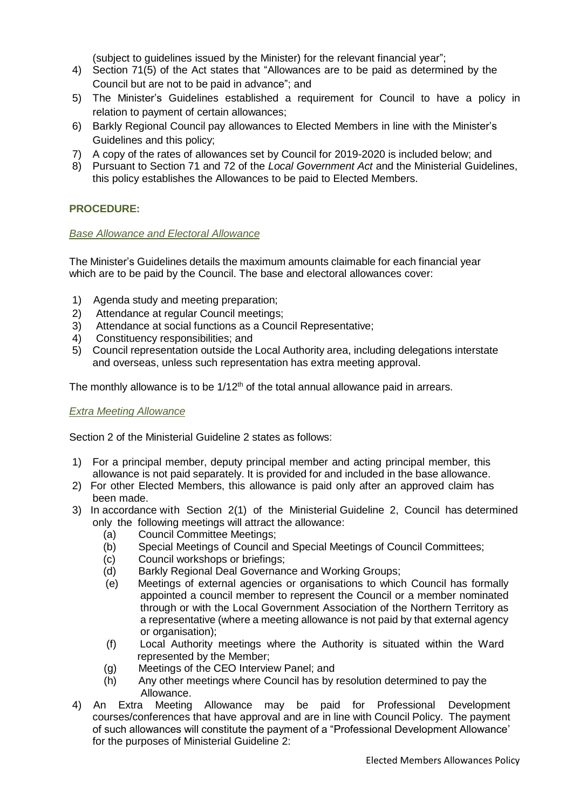(subject to guidelines issued by the Minister) for the relevant financial year";

- 4) Section 71(5) of the Act states that "Allowances are to be paid as determined by the Council but are not to be paid in advance"; and
- 5) The Minister's Guidelines established a requirement for Council to have a policy in relation to payment of certain allowances;
- 6) Barkly Regional Council pay allowances to Elected Members in line with the Minister's Guidelines and this policy;
- 7) A copy of the rates of allowances set by Council for 2019-2020 is included below; and
- 8) Pursuant to Section 71 and 72 of the *Local Government Act* and the Ministerial Guidelines, this policy establishes the Allowances to be paid to Elected Members.

# **PROCEDURE:**

### *Base Allowance and Electoral Allowance*

The Minister's Guidelines details the maximum amounts claimable for each financial year which are to be paid by the Council. The base and electoral allowances cover:

- 1) Agenda study and meeting preparation;
- 2) Attendance at regular Council meetings;
- 3) Attendance at social functions as a Council Representative;
- 4) Constituency responsibilities; and
- 5) Council representation outside the Local Authority area, including delegations interstate and overseas, unless such representation has extra meeting approval.

The monthly allowance is to be  $1/12<sup>th</sup>$  of the total annual allowance paid in arrears.

### *Extra Meeting Allowance*

Section 2 of the Ministerial Guideline 2 states as follows:

- 1) For a principal member, deputy principal member and acting principal member, this allowance is not paid separately. It is provided for and included in the base allowance.
- 2) For other Elected Members, this allowance is paid only after an approved claim has been made.
- 3) In accordance with Section 2(1) of the Ministerial Guideline 2, Council has determined only the following meetings will attract the allowance:
	- (a) Council Committee Meetings;
	- (b) Special Meetings of Council and Special Meetings of Council Committees;
	- (c) Council workshops or briefings;
	- (d) Barkly Regional Deal Governance and Working Groups;
	- (e) Meetings of external agencies or organisations to which Council has formally appointed a council member to represent the Council or a member nominated through or with the Local Government Association of the Northern Territory as a representative (where a meeting allowance is not paid by that external agency or organisation);
	- (f) Local Authority meetings where the Authority is situated within the Ward represented by the Member;
	- (g) Meetings of the CEO Interview Panel; and
	- (h) Any other meetings where Council has by resolution determined to pay the Allowance.
- 4) An Extra Meeting Allowance may be paid for Professional Development courses/conferences that have approval and are in line with Council Policy. The payment of such allowances will constitute the payment of a "Professional Development Allowance' for the purposes of Ministerial Guideline 2: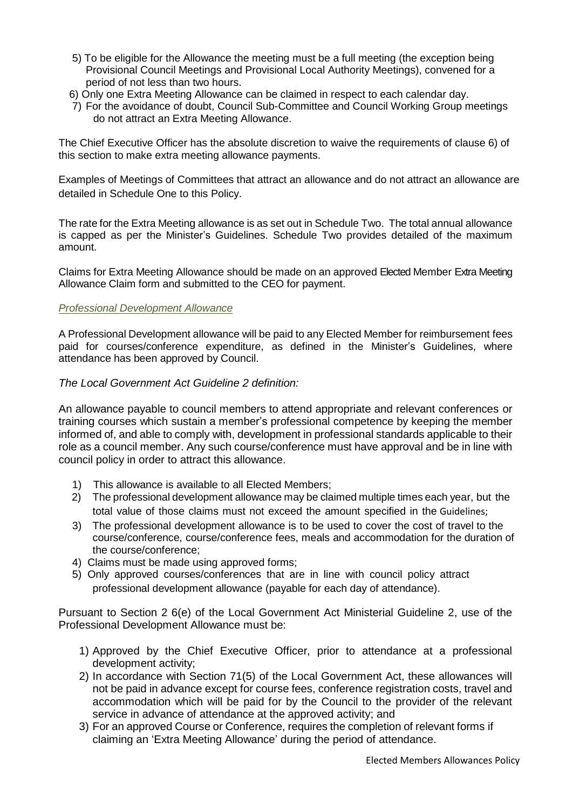- 5) To be eligible for the Allowance the meeting must be a full meeting (the exception being Provisional Council Meetings and Provisional Local Authority Meetings), convened for a period of not less than two hours.
- 6) Only one Extra Meeting Allowance can be claimed in respect to each calendar day.
- 7) For the avoidance of doubt, Council Sub-Committee and Council Working Group meetings do not attract an Extra Meeting Allowance.

The Chief Executive Officer has the absolute discretion to waive the requirements of clause 6) of this section to make extra meeting allowance payments.

Examples of Meetings of Committees that attract an allowance and do not attract an allowance are detailed in Schedule One to this Policy.

The rate for the Extra Meeting allowance is as set out in Schedule Two. The total annual allowance is capped as per the Minister's Guidelines. Schedule Two provides detailed of the maximum amount.

Claims for Extra Meeting Allowance should be made on an approved Elected Member Extra Meeting Allowance Claim form and submitted to the CEO for payment.

#### *Professional Development Allowance*

A Professional Development allowance will be paid to any Elected Member for reimbursement fees paid for courses/conference expenditure, as defined in the Minister's Guidelines, where attendance has been approved by Council.

#### *The Local Government Act Guideline 2 definition:*

An allowance payable to council members to attend appropriate and relevant conferences or training courses which sustain a member's professional competence by keeping the member informed of, and able to comply with, development in professional standards applicable to their role as a council member. Any such course/conference must have approval and be in line with council policy in order to attract this allowance.

- 1) This allowance is available to all Elected Members;
- 2) The professional development allowance may be claimed multiple times each year, but the total value of those claims must not exceed the amount specified in the Guidelines;
- 3) The professional development allowance is to be used to cover the cost of travel to the course/conference, course/conference fees, meals and accommodation for the duration of the course/conference;
- 4) Claims must be made using approved forms;
- 5) Only approved courses/conferences that are in line with council policy attract professional development allowance (payable for each day of attendance).

Pursuant to Section 2 6(e) of the Local Government Act Ministerial Guideline 2, use of the Professional Development Allowance must be:

- 1) Approved by the Chief Executive Officer, prior to attendance at a professional development activity;
- 2) In accordance with Section 71(5) of the Local Government Act, these allowances will not be paid in advance except for course fees, conference registration costs, travel and accommodation which will be paid for by the Council to the provider of the relevant service in advance of attendance at the approved activity; and
- 3) For an approved Course or Conference, requires the completion of relevant forms if claiming an 'Extra Meeting Allowance' during the period of attendance.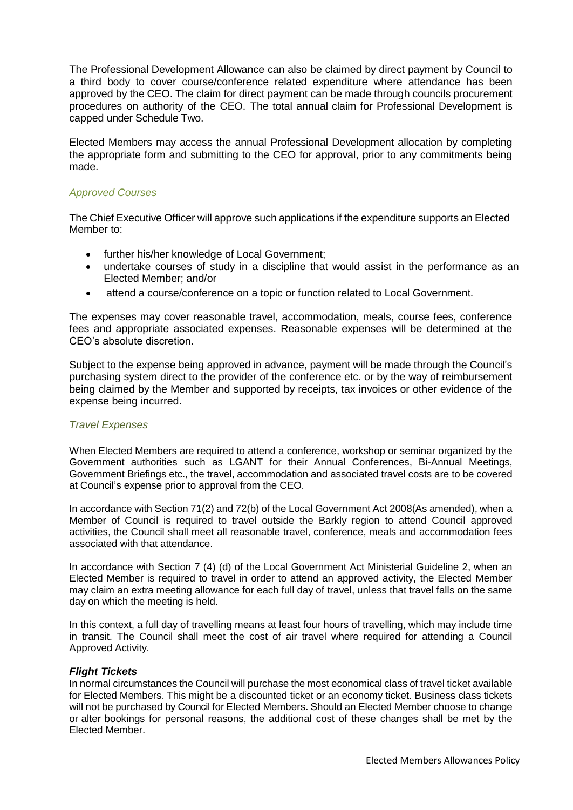The Professional Development Allowance can also be claimed by direct payment by Council to a third body to cover course/conference related expenditure where attendance has been approved by the CEO. The claim for direct payment can be made through councils procurement procedures on authority of the CEO. The total annual claim for Professional Development is capped under Schedule Two.

Elected Members may access the annual Professional Development allocation by completing the appropriate form and submitting to the CEO for approval, prior to any commitments being made.

#### *Approved Courses*

The Chief Executive Officer will approve such applications if the expenditure supports an Elected Member to:

- further his/her knowledge of Local Government;
- undertake courses of study in a discipline that would assist in the performance as an Elected Member; and/or
- attend a course/conference on a topic or function related to Local Government.

The expenses may cover reasonable travel, accommodation, meals, course fees, conference fees and appropriate associated expenses. Reasonable expenses will be determined at the CEO's absolute discretion.

Subject to the expense being approved in advance, payment will be made through the Council's purchasing system direct to the provider of the conference etc. or by the way of reimbursement being claimed by the Member and supported by receipts, tax invoices or other evidence of the expense being incurred.

#### *Travel Expenses*

When Elected Members are required to attend a conference, workshop or seminar organized by the Government authorities such as LGANT for their Annual Conferences, Bi-Annual Meetings, Government Briefings etc., the travel, accommodation and associated travel costs are to be covered at Council's expense prior to approval from the CEO.

In accordance with Section 71(2) and 72(b) of the Local Government Act 2008(As amended), when a Member of Council is required to travel outside the Barkly region to attend Council approved activities, the Council shall meet all reasonable travel, conference, meals and accommodation fees associated with that attendance.

In accordance with Section 7 (4) (d) of the Local Government Act Ministerial Guideline 2, when an Elected Member is required to travel in order to attend an approved activity, the Elected Member may claim an extra meeting allowance for each full day of travel, unless that travel falls on the same day on which the meeting is held.

In this context, a full day of travelling means at least four hours of travelling, which may include time in transit. The Council shall meet the cost of air travel where required for attending a Council Approved Activity.

#### *Flight Tickets*

In normal circumstances the Council will purchase the most economical class of travel ticket available for Elected Members. This might be a discounted ticket or an economy ticket. Business class tickets will not be purchased by Council for Elected Members. Should an Elected Member choose to change or alter bookings for personal reasons, the additional cost of these changes shall be met by the Elected Member.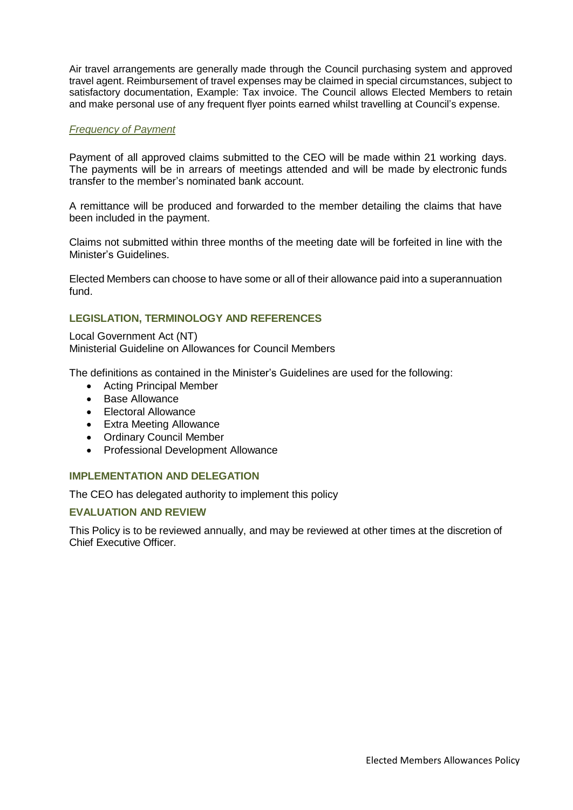Air travel arrangements are generally made through the Council purchasing system and approved travel agent. Reimbursement of travel expenses may be claimed in special circumstances, subject to satisfactory documentation, Example: Tax invoice. The Council allows Elected Members to retain and make personal use of any frequent flyer points earned whilst travelling at Council's expense.

### *Frequency of Payment*

Payment of all approved claims submitted to the CEO will be made within 21 working days. The payments will be in arrears of meetings attended and will be made by electronic funds transfer to the member's nominated bank account.

A remittance will be produced and forwarded to the member detailing the claims that have been included in the payment.

Claims not submitted within three months of the meeting date will be forfeited in line with the Minister's Guidelines.

Elected Members can choose to have some or all of their allowance paid into a superannuation fund.

# **LEGISLATION, TERMINOLOGY AND REFERENCES**

Local Government Act (NT) Ministerial Guideline on Allowances for Council Members

The definitions as contained in the Minister's Guidelines are used for the following:

- Acting Principal Member
- Base Allowance
- Electoral Allowance
- Extra Meeting Allowance
- Ordinary Council Member
- Professional Development Allowance

### **IMPLEMENTATION AND DELEGATION**

The CEO has delegated authority to implement this policy

### **EVALUATION AND REVIEW**

This Policy is to be reviewed annually, and may be reviewed at other times at the discretion of Chief Executive Officer.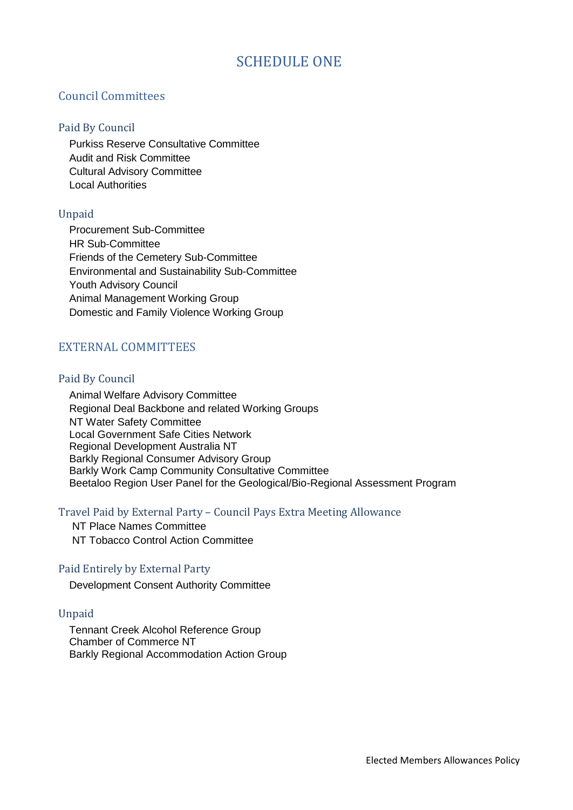# SCHEDULE ONE

# Council Committees

### Paid By Council

Purkiss Reserve Consultative Committee Audit and Risk Committee Cultural Advisory Committee Local Authorities

### Unpaid

Procurement Sub-Committee HR Sub-Committee Friends of the Cemetery Sub-Committee Environmental and Sustainability Sub-Committee Youth Advisory Council Animal Management Working Group Domestic and Family Violence Working Group

# EXTERNAL COMMITTEES

### Paid By Council

Animal Welfare Advisory Committee Regional Deal Backbone and related Working Groups NT Water Safety Committee Local Government Safe Cities Network Regional Development Australia NT Barkly Regional Consumer Advisory Group Barkly Work Camp Community Consultative Committee Beetaloo Region User Panel for the Geological/Bio-Regional Assessment Program

### Travel Paid by External Party – Council Pays Extra Meeting Allowance

NT Place Names Committee NT Tobacco Control Action Committee

### Paid Entirely by External Party

Development Consent Authority Committee

### Unpaid

Tennant Creek Alcohol Reference Group Chamber of Commerce NT Barkly Regional Accommodation Action Group